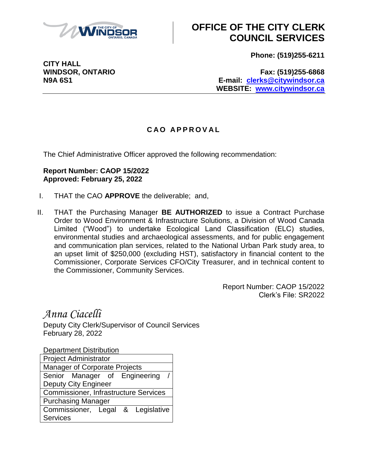

## **OFFICE OF THE CITY CLERK COUNCIL SERVICES**

**Phone: (519)255-6211**

**CITY HALL**

**WINDSOR, ONTARIO Fax: (519)255-6868 N9A 6S1 E-mail: [clerks@citywindsor.ca](mailto:clerks@citywindsor.ca) WEBSITE: [www.citywindsor.ca](http://www.citywindsor.ca/)**

## **C A O A P P R O V A L**

The Chief Administrative Officer approved the following recommendation:

## **Report Number: CAOP 15/2022 Approved: February 25, 2022**

- I. THAT the CAO **APPROVE** the deliverable; and,
- II. THAT the Purchasing Manager **BE AUTHORIZED** to issue a Contract Purchase Order to Wood Environment & Infrastructure Solutions, a Division of Wood Canada Limited ("Wood") to undertake Ecological Land Classification (ELC) studies, environmental studies and archaeological assessments, and for public engagement and communication plan services, related to the National Urban Park study area, to an upset limit of \$250,000 (excluding HST), satisfactory in financial content to the Commissioner, Corporate Services CFO/City Treasurer, and in technical content to the Commissioner, Community Services.

Report Number: CAOP 15/2022 Clerk's File: SR2022

*Anna Ciacelli* Deputy City Clerk/Supervisor of Council Services February 28, 2022

Department Distribution Project Administrator Manager of Corporate Projects Senior Manager of Engineering Deputy City Engineer Commissioner, Infrastructure Services Purchasing Manager Commissioner, Legal & Legislative **Services**